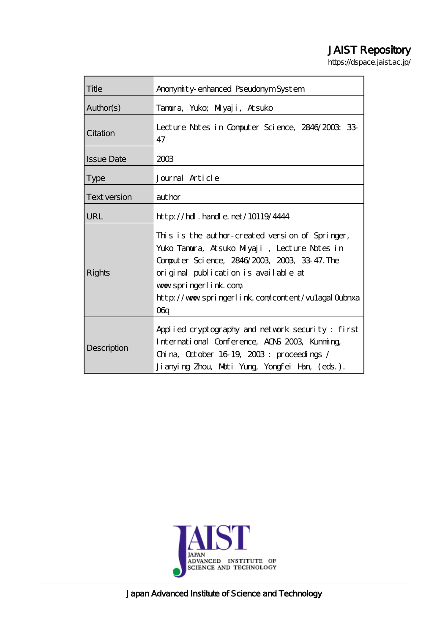# JAIST Repository

https://dspace.jaist.ac.jp/

| Title               | Anonymity-enhanced Pseudonym System                                                                                                                                                                                                                                          |
|---------------------|------------------------------------------------------------------------------------------------------------------------------------------------------------------------------------------------------------------------------------------------------------------------------|
| Author(s)           | Tanura, Yuko; Miyaji, Atsuko                                                                                                                                                                                                                                                 |
| Citation            | Lecture Notes in Computer Science, 2846/2003: 33-<br>47                                                                                                                                                                                                                      |
| <b>Issue Date</b>   | 2003                                                                                                                                                                                                                                                                         |
| <b>Type</b>         | Journal Article                                                                                                                                                                                                                                                              |
| <b>Text version</b> | author                                                                                                                                                                                                                                                                       |
| URL                 | http://hdl.handle.net/10119/4444                                                                                                                                                                                                                                             |
| Rights              | This is the author-created version of Springer,<br>Yuko Tamura, Atsuko Miyaji, Lecture Notes in<br>Computer Science, 2846/2003, 2003, 33-47. The<br>original publication is available at<br>www.springerlink.com<br>http://www.springerlink.com/content/vulagalQubnxa<br>06q |
| Description         | Applied cryptography and network security: first<br>International Conference, ACNS 2003, Kunning,<br>China, October 16 19, 2003: proceedings /<br>Jianying Zhou, Moti Yung, Yongfei Han, (eds.).                                                                             |



Japan Advanced Institute of Science and Technology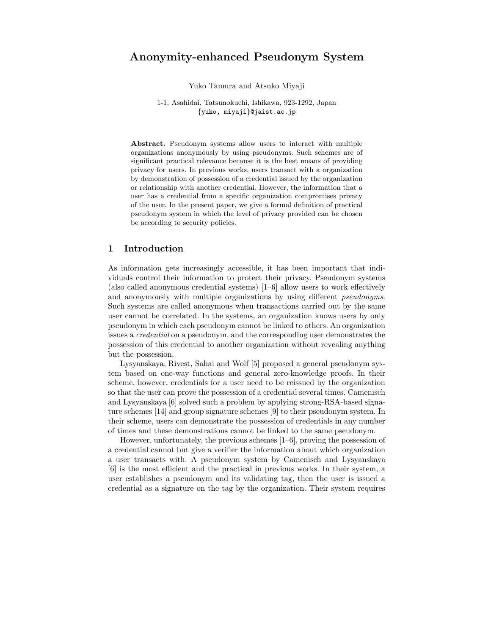# **Anonymity-enhanced Pseudonym System**

Yuko Tamura and Atsuko Miyaji

1-1, Asahidai, Tatsunokuchi, Ishikawa, 923-1292, Japan *{*yuko, miyaji*}*@jaist.ac.jp

**Abstract.** Pseudonym systems allow users to interact with multiple organizations anonymously by using pseudonyms. Such schemes are of significant practical relevance because it is the best means of providing privacy for users. In previous works, users transact with a organization by demonstration of possession of a credential issued by the organization or relationship with another credential. However, the information that a user has a credential from a specific organization compromises privacy of the user. In the present paper, we give a formal definition of practical pseudonym system in which the level of privacy provided can be chosen be according to security policies.

# **1 Introduction**

As information gets increasingly accessible, it has been important that individuals control their information to protect their privacy. Pseudonym systems (also called anonymous credential systems) [1–6] allow users to work effectively and anonymously with multiple organizations by using different *pseudonyms*. Such systems are called anonymous when transactions carried out by the same user cannot be correlated. In the systems, an organization knows users by only pseudonym in which each pseudonym cannot be linked to others. An organization issues a *credential* on a pseudonym, and the corresponding user demonstrates the possession of this credential to another organization without revealing anything but the possession.

Lysyanskaya, Rivest, Sahai and Wolf [5] proposed a general pseudonym system based on one-way functions and general zero-knowledge proofs. In their scheme, however, credentials for a user need to be reissued by the organization so that the user can prove the possession of a credential several times. Camenisch and Lysyanskaya [6] solved such a problem by applying strong-RSA-based signature schemes [14] and group signature schemes [9] to their pseudonym system. In their scheme, users can demonstrate the possession of credentials in any number of times and these demonstrations cannot be linked to the same pseudonym.

However, unfortunately, the previous schemes [1–6], proving the possession of a credential cannot but give a verifier the information about which organization a user transacts with. A pseudonym system by Camenisch and Lysyanskaya [6] is the most efficient and the practical in previous works. In their system, a user establishes a pseudonym and its validating tag, then the user is issued a credential as a signature on the tag by the organization. Their system requires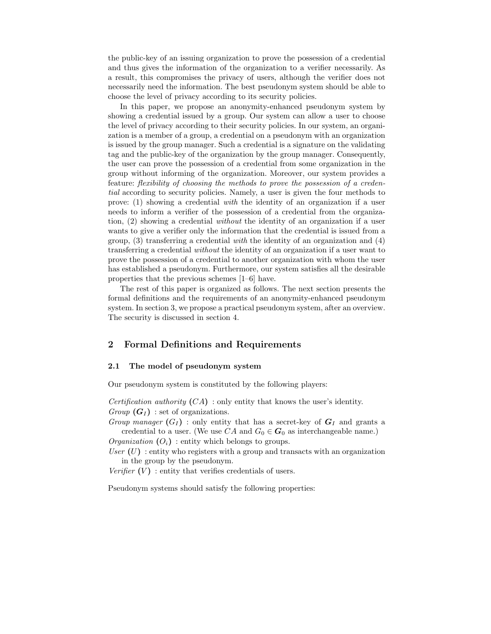the public-key of an issuing organization to prove the possession of a credential and thus gives the information of the organization to a verifier necessarily. As a result, this compromises the privacy of users, although the verifier does not necessarily need the information. The best pseudonym system should be able to choose the level of privacy according to its security policies.

In this paper, we propose an anonymity-enhanced pseudonym system by showing a credential issued by a group. Our system can allow a user to choose the level of privacy according to their security policies. In our system, an organization is a member of a group, a credential on a pseudonym with an organization is issued by the group manager. Such a credential is a signature on the validating tag and the public-key of the organization by the group manager. Consequently, the user can prove the possession of a credential from some organization in the group without informing of the organization. Moreover, our system provides a feature: *flexibility of choosing the methods to prove the possession of a credential* according to security policies. Namely, a user is given the four methods to prove: (1) showing a credential *with* the identity of an organization if a user needs to inform a verifier of the possession of a credential from the organization, (2) showing a credential *without* the identity of an organization if a user wants to give a verifier only the information that the credential is issued from a group, (3) transferring a credential *with* the identity of an organization and (4) transferring a credential *without* the identity of an organization if a user want to prove the possession of a credential to another organization with whom the user has established a pseudonym. Furthermore, our system satisfies all the desirable properties that the previous schemes [1–6] have.

The rest of this paper is organized as follows. The next section presents the formal definitions and the requirements of an anonymity-enhanced pseudonym system. In section 3, we propose a practical pseudonym system, after an overview. The security is discussed in section 4.

# **2 Formal Definitions and Requirements**

## **2.1 The model of pseudonym system**

Our pseudonym system is constituted by the following players:

*Certification authority*  $(CA)$ : only entity that knows the user's identity. *Group*  $(G_I)$  : set of organizations.

*Group manager*  $(G_I)$  : only entity that has a secret-key of  $G_I$  and grants a credential to a user. (We use  $CA$  and  $G_0 \in G_0$  as interchangeable name.)

*Organization*  $(O_i)$ : entity which belongs to groups.

User  $(U)$ : entity who registers with a group and transacts with an organization in the group by the pseudonym.

*Verifier*  $(V)$ : entity that verifies credentials of users.

Pseudonym systems should satisfy the following properties: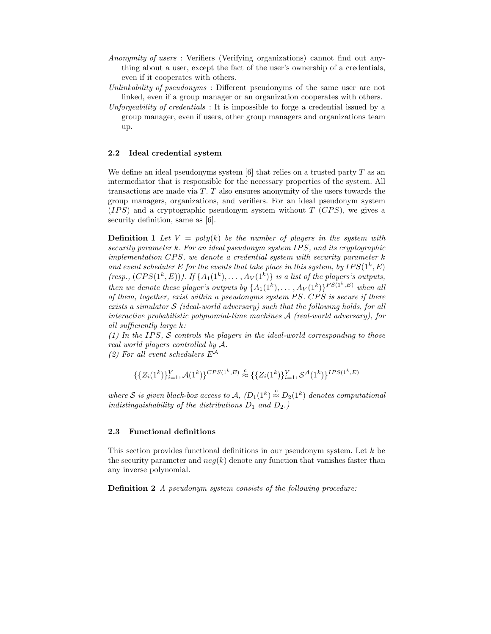- *Anonymity of users* : Verifiers (Verifying organizations) cannot find out anything about a user, except the fact of the user's ownership of a credentials, even if it cooperates with others.
- *Unlinkability of pseudonyms* : Different pseudonyms of the same user are not linked, even if a group manager or an organization cooperates with others.
- *Unforgeability of credentials* : It is impossible to forge a credential issued by a group manager, even if users, other group managers and organizations team up.

## **2.2 Ideal credential system**

We define an ideal pseudonyms system  $[6]$  that relies on a trusted party T as an intermediator that is responsible for the necessary properties of the system. All transactions are made via  $T$ . T also ensures anonymity of the users towards the group managers, organizations, and verifiers. For an ideal pseudonym system  $(IPS)$  and a cryptographic pseudonym system without T (CPS), we gives a security definition, same as [6].

**Definition 1** Let  $V = poly(k)$  be the number of players in the system with *security parameter* k*. For an ideal pseudonym system* IPS*, and its cryptographic implementation* CPS*, we denote a credential system with security parameter* k *and event scheduler* E *for the events that take place in this system, by*  $IPS(1^k, E)$ *(resp.,*  $(CPS(1^k, E))$ *).* If  $\{A_1(1^k), \ldots, A_V(1^k)\}\$ is a list of the players's outputs, *then we denote these player's outputs by*  $\{A_1(1^k), \ldots, A_V(1^k)\}^{PS(1^k, E)}$  *when all of them, together, exist within a pseudonyms system PS. CPS is secure if there exists a simulator* S *(ideal-world adversary) such that the following holds, for all interactive probabilistic polynomial-time machines* A *(real-world adversary), for all sufficiently large* k*:*

*(1) In the* IPS*,* S *controls the players in the ideal-world corresponding to those real world players controlled by* A*.*

*(2) For all event schedulers* EA

$$
\{\{Z_i(1^k)\}_{i=1}^V, \mathcal{A}(1^k)\}^{CPS(1^k,E)} \stackrel{c}{\approx} \{\{Z_i(1^k)\}_{i=1}^V, \mathcal{S}^{\mathcal{A}}(1^k)\}^{IPS(1^k,E)}
$$

*where*  $S$  *is given black-box access to*  $A$ *,*  $(D_1(1^k) \stackrel{c}{\approx} D_2(1^k)$  *denotes computational indistinguishability of the distributions*  $D_1$  *and*  $D_2$ *.*)

## **2.3 Functional definitions**

This section provides functional definitions in our pseudonym system. Let k be the security parameter and  $neg(k)$  denote any function that vanishes faster than any inverse polynomial.

**Definition 2** *A pseudonym system consists of the following procedure:*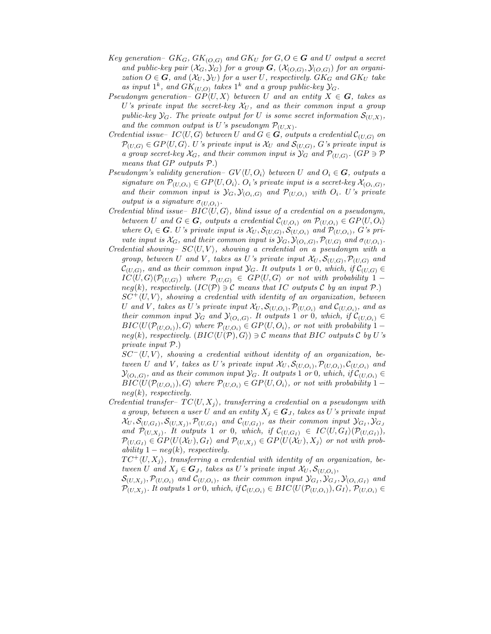- *Key generation–*  $GK_G$ ,  $GK_{(O,G)}$  *and*  $GK_U$  *for*  $G, O \in G$  *and*  $U$  *output a secret* and public-key pair  $(\mathcal{X}_G, \mathcal{Y}_G)$  for a group  $G$ ,  $(\mathcal{X}_{(O,G)}, \mathcal{Y}_{(O,G)})$  for an organi*zation*  $O \in G$ *, and*  $(X_U, Y_U)$  *for a user* U*, respectively.*  $GK_G$  *and*  $GK_U$  *take* as input  $1^k$ , and  $GK_{(U,O)}$  takes  $1^k$  and a group public-key  $\mathcal{Y}_G$ .
- *Pseudonym generation–*  $GP\langle U, X \rangle$  *between* U and an entity  $X \in G$ , takes as U's private input the secret-key  $\mathcal{X}_U$ , and as their common input a group *public-key*  $\mathcal{Y}_G$ *. The private output for* U *is some secret information*  $\mathcal{S}_{(U,X)}$ *,* and the common output is U's pseudonym  $\mathcal{P}_{(U,X)}$ .
- *Credential issue–*  $IC\langle U, G \rangle$  *between* U *and*  $G \in G$ *, outputs a credential*  $\mathcal{C}_{(U,G)}$  *on*  $\mathcal{P}_{(U,G)} \in \mathbb{G}P\langle U,G\rangle$ . *U*'s private input is  $\mathcal{X}_U$  and  $\mathcal{S}_{(U,G)}$ , *G*'s private input is *a group secret-key*  $\mathcal{X}_G$ *, and their common input is*  $\mathcal{Y}_G$  *and*  $\mathcal{P}_{(U,G)}$ *.* ( $GP \ni \mathcal{P}$ *means that* GP *outputs* P.)
- *Pseudonym's validity generation–*  $GV\langle U, O_i\rangle)$  *between* U and  $O_i \in G$ *, outputs a signature on*  $\mathcal{P}_{(U,O_i)} \in GP\langle U,O_i \rangle$ .  $O_i$ 's private input is a secret-key  $\mathcal{X}_{(O_i,G)}$ , and their common input is  $\mathcal{Y}_G, \mathcal{Y}_{(O_i,G)}$  and  $\mathcal{P}_{(U,O_i)}$  with  $O_i$ . U's private *output is a signature*  $\sigma_{(U,Q_i)}$ .
- *Credential blind issue–*  $BIC\langle U, G \rangle$ , blind issue of a credential on a pseudonym, *between* U and  $G \in \mathbf{G}$ , outputs a credential  $\mathcal{C}_{(U, O_i)}$  on  $\mathcal{P}_{(U, O_i)} \in GP\langle U, O_i \rangle$ *where*  $O_i \in G$ *. U's private input is*  $\mathcal{X}_U$ ,  $\mathcal{S}_{(U,G)}$ ,  $\mathcal{S}_{(U,O_i)}$  *and*  $\mathcal{P}_{(U,O_i)}$ *, G's private input is*  $\mathcal{X}_G$ *, and their common input is*  $\mathcal{Y}_G$ *,*  $\mathcal{Y}_{(O_i,G)}$ *,*  $\mathcal{P}_{(U,G)}$  *and*  $\sigma_{(U,O_i)}$ *.*
- *Credential showing–*  $SC\langle U, V \rangle$ *, showing a credential on a pseudonym with a group, between* U *and* V, *takes as* U's private input  $\mathcal{X}_U$ ,  $\mathcal{S}_{(U,G)}$ ,  $\mathcal{P}_{(U,G)}$  *and*  $\mathcal{C}_{(U,G)}$ *, and as their common input*  $\mathcal{Y}_G$ *. It outputs* 1 *or* 0*, which, if*  $\mathcal{C}_{(U,G)}$   $\in$  $IC(U, G)(\mathcal{P}_{(U,G)})$  where  $\mathcal{P}_{(U,G)} \in GP(U,G)$  or not with probability 1 – neg(k), respectively.  $(IC(\mathcal{P}) \ni \mathcal{C}$  *means that*  $IC$  *outputs*  $\mathcal{C}$  *by an input*  $\mathcal{P}$ *.*)  $SC^+(U, V)$ *, showing a credential with identity of an organization, between* U and V, takes as U's private input  $\mathcal{X}_U$ ,  $\mathcal{S}_{(U,O_i)}$ ,  $\mathcal{P}_{(U,O_i)}$  and  $\mathcal{C}_{(U,O_i)}$ , and as *their common input*  $\mathcal{Y}_G$  *and*  $\mathcal{Y}_{(O_i,G)}$ *. It outputs* 1 *or* 0*, which, if*  $\mathcal{C}_{(U,O_i)}$   $\in$  $BIC\langle U(\mathcal{P}_{(U,O_i)}), G \rangle$  where  $\mathcal{P}_{(U,O_i)} \in GP\langle U,O_i \rangle$ , or not with probability 1 –  $neg(k)$ *, respectively.*  $(BIC\langle U(\mathcal{P}), G \rangle) \ni \mathcal{C}$  *means that*  $BIC$  *outputs*  $\mathcal{C}$  *by*  $U$ 's *private input* P.)

 $SC^{-}\langle U, V \rangle$ , showing a credential without identity of an organization, be*tween* U and V, takes as U's private input  $\mathcal{X}_U$ ,  $\mathcal{S}_{(U,O_i)}$ ,  $\mathcal{P}_{(U,O_i)}$ ,  $\mathcal{C}_{(U,O_i)}$  and  $\mathcal{Y}_{(O_i,G)}$ *, and as their common input*  $\mathcal{Y}_G$ *. It outputs* 1 *or* 0*, which, if*  $\mathcal{C}_{(U,O_i)}$   $\in$  $BIC\langle U(\mathcal{P}_{(U,O_i)}), G \rangle$  where  $\mathcal{P}_{(U,O_i)} \in GP\langle U,O_i \rangle$ , or not with probability 1 – neg(k)*, respectively.*

*Credential transfer–*  $TC\langle U, X_j \rangle$ , transferring a credential on a pseudonym with *a group, between a user* U *and an entity*  $X_j \in G_J$ , takes as U's private input  $\mathcal{X}_U, \mathcal{S}_{(U,G_I)}, \mathcal{S}_{(U,X_i)}, \mathcal{P}_{(U,G_I)}$  and  $\mathcal{C}_{(U,G_I)}$ , as their common input  $\mathcal{Y}_{G_I}, \mathcal{Y}_{G_J}$ *and*  $\mathcal{P}_{(U,X_i)}$ *. It outputs* 1 *or* 0*, which, if*  $\mathcal{C}_{(U,G_I)} \in IC\langle U,G_I\rangle(\mathcal{P}_{(U,G_I)})$ *,*  $\mathcal{P}_{(U,G_I)} \in GP\langle U(\mathcal{X}_U), G_I \rangle$  and  $\mathcal{P}_{(U,X_i)} \in GP\langle U(\mathcal{X}_U), X_j \rangle$  or not with prob*ability*  $1 - neg(k)$ *, respectively.* 

 $TC^+\langle U, X_j \rangle$ , transferring a credential with identity of an organization, be*tween* U and  $X_j \in G_J$ , takes as U's private input  $\mathcal{X}_U, \mathcal{S}_{(U,O_i)}$ ,

 $\mathcal{S}_{(U,X_i)}, \mathcal{P}_{(U,O_i)}$  and  $\mathcal{C}_{(U,O_i)}$ *, as their common input*  $\mathcal{Y}_{G_I}, \mathcal{Y}_{G_J}, \mathcal{Y}_{(O_i,G_I)}$  and  $\mathcal{P}_{(U,X_i)}$ *. It outputs* 1 *or* 0*, which, if*  $\mathcal{C}_{(U,O_i)} \in BIC\langle U(\mathcal{P}_{(U,O_i)}), G_I \rangle$ ,  $\mathcal{P}_{(U,O_i)} \in$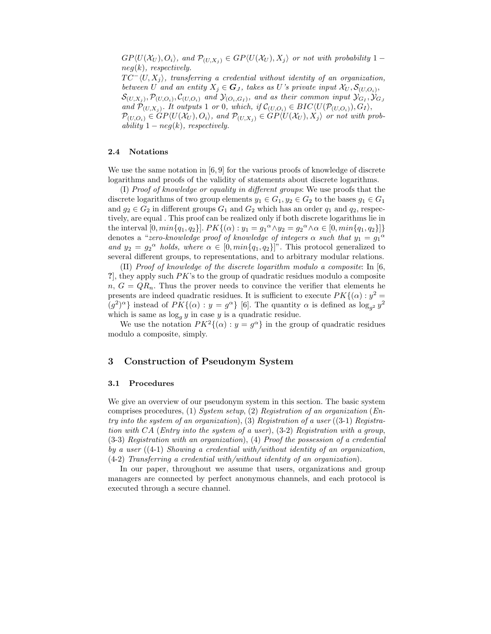$GP\langle U(X_U), O_i \rangle$ , and  $\mathcal{P}_{(U,X_i)} \in GP\langle U(X_U), X_j \rangle$  or not with probability 1 – neg(k)*, respectively.*

 $TC^{-}\langle U, X_j \rangle$ , transferring a credential without identity of an organization, *between* U and an entity  $X_j \in G_J$ , takes as U's private input  $\mathcal{X}_U, \mathcal{S}_{(U,O_i)}$ ,  $\mathcal{S}_{(U,X_i)}, \mathcal{P}_{(U,O_i)}, \mathcal{C}_{(U,O_i)}$  and  $\mathcal{Y}_{(O_i,G_I)}$ , and as their common input  $\mathcal{Y}_{G_I}, \mathcal{Y}_{G_J}$ *and*  $\mathcal{P}_{(U,X_i)}$ *. It outputs* 1 *or* 0*, which, if*  $\mathcal{C}_{(U,O_i)} \in BIC \langle U(\mathcal{P}_{(U,O_i)}), G_I \rangle$ ,  $\mathcal{P}_{(U,O_i)} \in GP\langle U(\mathcal{X}_U), O_i \rangle$ , and  $\mathcal{P}_{(U,X_i)} \in GP\langle U(\mathcal{X}_U), X_j \rangle$  or not with prob*ability*  $1 - neg(k)$ *, respectively.* 

### **2.4 Notations**

We use the same notation in [6, 9] for the various proofs of knowledge of discrete logarithms and proofs of the validity of statements about discrete logarithms.

(I) *Proof of knowledge or equality in different groups*: We use proofs that the discrete logarithms of two group elements  $y_1 \in G_1, y_2 \in G_2$  to the bases  $g_1 \in G_1$ and  $g_2 \in G_2$  in different groups  $G_1$  and  $G_2$  which has an order  $q_1$  and  $q_2$ , respectively, are equal . This proof can be realized only if both discrete logarithms lie in the interval  $[0, min{q_1, q_2}]$ .  $PK({\alpha) : y_1 = g_1^{\alpha} \land y_2 = g_2^{\alpha} \land \alpha \in [0, min{q_1, q_2}] }$ denotes a "*zero-knowledge proof of knowledge of integers*  $\alpha$  *such that*  $y_1 = g_1^{\alpha}$ and  $y_2 = g_2^{\alpha}$  *holds, where*  $\alpha \in [0, min\{q_1, q_2\}]$ ". This protocol generalized to several different groups, to representations, and to arbitrary modular relations.

(II) *Proof of knowledge of the discrete logarithm modulo a composite*: In [6, **?**], they apply such PK's to the group of quadratic residues modulo a composite  $n, G = QR_n$ . Thus the prover needs to convince the verifier that elements he presents are indeed quadratic residues. It is sufficient to execute  $PK\{(\alpha): y^2 =$  $(g^2)^\alpha$  instead of  $PK\{(\alpha): y = g^\alpha\}$  [6]. The quantity  $\alpha$  is defined as  $\log_{a^2} y^2$ which is same as  $\log_a y$  in case y is a quadratic residue.

We use the notation  $PK^2{\{\alpha\}}: y = g^{\alpha}$  in the group of quadratic residues modulo a composite, simply.

# **3 Construction of Pseudonym System**

#### **3.1 Procedures**

We give an overview of our pseudonym system in this section. The basic system comprises procedures, (1) *System setup*, (2) *Registration of an organization* (*Entry into the system of an organization*), (3) *Registration of a user* ((3-1) *Registration with* CA (*Entry into the system of a user*), (3-2) *Registration with a group*, (3-3) *Registration with an organization*), (4) *Proof the possession of a credential by a user* ((4-1) *Showing a credential with/without identity of an organization*, (4-2) *Transferring a credential with/without identity of an organization*).

In our paper, throughout we assume that users, organizations and group managers are connected by perfect anonymous channels, and each protocol is executed through a secure channel.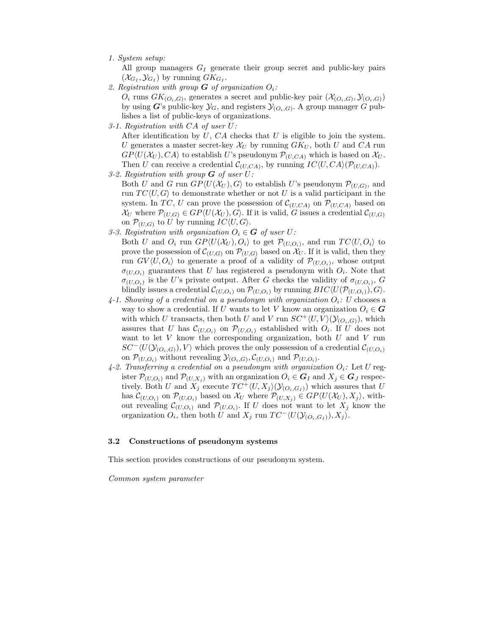*1. System setup:*

All group managers  $G_I$  generate their group secret and public-key pairs  $(\mathcal{X}_{G_I}, \mathcal{Y}_{G_I})$  by running  $GK_{G_I}$ .

2. Registration with group  $G$  of organization  $O_i$ :

 $O_i$  runs  $GK_{(O_i,G)}$ , generates a secret and public-key pair  $(\mathcal{X}_{(O_i,G)}, \mathcal{Y}_{(O_i,G)})$ by using *G*'s public-key  $\mathcal{Y}_G$ , and registers  $\mathcal{Y}_{(O_i, G)}$ . A group manager *G* publishes a list of public-keys of organizations.

*3-1. Registration with* CA *of user* U*:* After identification by  $U$ ,  $CA$  checks that  $U$  is eligible to join the system. U generates a master secret-key  $\mathcal{X}_U$  by running  $G K_U$ , both U and CA run  $GP\langle U(\mathcal{X}_U), CA \rangle$  to establish U's pseudonym  $\mathcal{P}_{(U,CA)}$  which is based on  $\mathcal{X}_U$ . Then U can receive a credential  $\mathcal{C}_{(U,CA)}$ , by running  $IC\langle U, CA \rangle(\mathcal{P}_{(U,CA)})$ .

*3-2. Registration with group G of user* U*:* Both U and G run  $GP\langle U(\mathcal{X}_U), G \rangle$  to establish U's pseudonym  $\mathcal{P}_{(U,G)}$ , and run  $TC\langle U, G \rangle$  to demonstrate whether or not U is a valid participant in the system. In TC, U can prove the possession of  $\mathcal{C}_{(U,CA)}$  on  $\mathcal{P}_{(U,CA)}$  based on  $\mathcal{X}_U$  where  $\mathcal{P}_{(U,G)} \in GP(U(\mathcal{X}_U), G)$ . If it is valid, G issues a credential  $\mathcal{C}_{(U,G)}$ on  $\mathcal{P}_{(U,G)}$  to U by running  $IC\langle U, G \rangle$ .

- *3-3. Registration with organization*  $O_i \in G$  *of user*  $U$ *:* Both U and  $O_i$  run  $GP\langle U(\mathcal{X}_U), O_i \rangle$  to get  $\mathcal{P}_{(U,O_i)}$ , and run  $TC\langle U, O_i \rangle$  to prove the possession of  $\mathcal{C}_{(U,G)}$  on  $\mathcal{P}_{(U,G)}$  based on  $\mathcal{X}_U$ . If it is valid, then they run  $GV\langle U,O_i\rangle$  to generate a proof of a validity of  $\mathcal{P}_{(U,O_i)}$ , whose output  $\sigma_{(U,O_i)}$  guarantees that U has registered a pseudonym with  $O_i$ . Note that  $\sigma_{(U,O_i)}$  is the U's private output. After G checks the validity of  $\sigma_{(U,O_i)}$ , G blindly issues a credential  $\mathcal{C}_{(U,O_i)}$  on  $\mathcal{P}_{(U,O_i)}$  by running  $BIC\langle U(\mathcal{P}_{(U,O_i)}), G\rangle$ .
- $4$ -1. Showing of a credential on a pseudonym with organization  $O_i$ : U chooses a way to show a credential. If U wants to let V know an organization  $O_i \in \mathbf{G}$ with which U transacts, then both U and V run  $SC^+\langle U, V \rangle(\mathcal{Y}_{(O_i, G)})$ , which assures that U has  $\mathcal{C}_{(U,O_i)}$  on  $\mathcal{P}_{(U,O_i)}$  established with  $O_i$ . If U does not want to let  $V$  know the corresponding organization, both  $U$  and  $V$  run  $SC^{-}\langle U(\mathcal{Y}_{(O_i,G)}), V \rangle$  which proves the only possession of a credential  $\mathcal{C}_{(U,O_i)}$ on  $\mathcal{P}_{(U,O_i)}$  without revealing  $\mathcal{Y}_{(O_i,G)}, \mathcal{C}_{(U,O_i)}$  and  $\mathcal{P}_{(U,O_i)}$ .
- $4$ -2. Transferring a credential on a pseudonym with organization  $O_i$ : Let  $U$  register  $\mathcal{P}_{(U,O_i)}$  and  $\mathcal{P}_{(U,X_i)}$  with an organization  $O_i \in G_I$  and  $X_j \in G_J$  respectively. Both U and  $X_j$  execute  $TC^+\langle U, X_j\rangle(\mathcal{Y}_{(O_i, G_I)})$  which assures that U has  $\mathcal{C}_{(U,O_i)}$  on  $\mathcal{P}_{(U,O_i)}$  based on  $\mathcal{X}_U$  where  $\mathcal{P}_{(U,X_i)} \in GP\langle U(\mathcal{X}_U), X_j \rangle$ , without revealing  $\mathcal{C}_{(U,O_i)}$  and  $\mathcal{P}_{(U,O_i)}$ . If U does not want to let  $X_j$  know the organization  $O_i$ , then both U and  $X_i$  run  $TC^{-}\langle U(\mathcal{Y}_{(O_i, G_i)}), X_i \rangle$ .

#### **3.2 Constructions of pseudonym systems**

This section provides constructions of our pseudonym system.

*Common system parameter*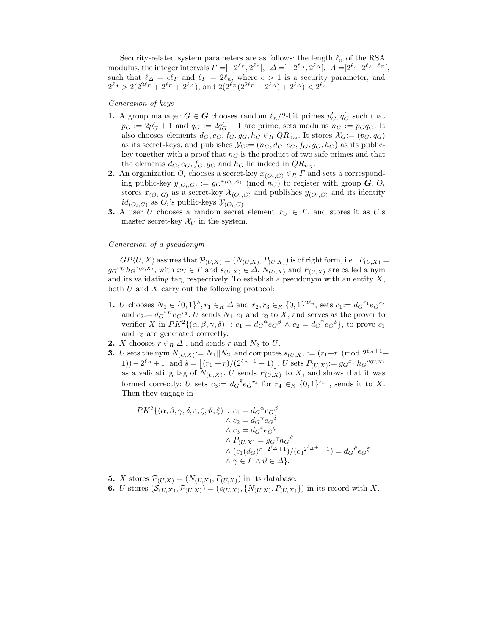Security-related system parameters are as follows: the length  $\ell_n$  of the RSA modulus, the integer intervals  $\Gamma = ]-2^{\ell_T}, 2^{\ell_T} [$ ,  $\Delta = ]-2^{\ell_{\Delta}}, 2^{\ell_{\Delta}} [$ ,  $\Lambda = ]2^{\ell_{\Delta}}, 2^{\ell_{\Delta}+\ell_{\Sigma}} [$ , such that  $\ell_{\Delta} = \epsilon \ell_{\Gamma}$  and  $\ell_{\Gamma} = 2\ell_n$ , where  $\epsilon > 1$  is a security parameter, and  $2^{\ell_A} > 2(2^{2\ell_F} + 2^{\ell_F} + 2^{\ell_A}), \text{ and } 2(2^{\ell_{\Sigma}}(2^{2\ell_F} + 2^{\ell_A}) + 2^{\ell_A}) < 2^{\ell_A}.$ 

#### *Generation of keys*

- **1.** A group manager  $G \in G$  chooses random  $\ell_n/2$ -bit primes  $p'_G, q'_G$  such that  $p_G := 2p'_G + 1$  and  $q_G := 2q'_G + 1$  are prime, sets modulus  $n_G := p_G q_G$ . It also chooses elements  $d_G, e_G, f_G, g_G, h_G \in_R QR_{n_G}$ . It stores  $\mathcal{X}_G := (p_G, q_G)$ as its secret-keys, and publishes  $\mathcal{Y}_G=(n_G, d_G, e_G, f_G, g_G, h_G)$  as its publickey together with a proof that  $n<sub>G</sub>$  is the product of two safe primes and that the elements  $d_G, e_G, f_G, g_G$  and  $h_G$  lie indeed in  $QR_{n_G}$ .
- **2.** An organization  $O_i$  chooses a secret-key  $x_{(O_i,G)} \in_R \Gamma$  and sets a corresponding public-key  $y_{(O_i,G)} := g_G^{x_{(O_i,G)}} \pmod{n_G}$  to register with group *G*.  $O_i$ stores  $x_{(O_i,G)}$  as a secret-key  $\mathcal{X}_{(O_i,G)}$  and publishes  $y_{(O_i,G)}$  and its identity  $id_{(O_i,G)}$  as  $O_i$ 's public-keys  $\mathcal{Y}_{(O_i,G)}$ .
- **3.** A user U chooses a random secret element  $x_U \in \Gamma$ , and stores it as U's master secret-key  $\mathcal{X}_U$  in the system.

#### *Generation of a pseudonym*

 $GP\langle U, X \rangle$  assures that  $\mathcal{P}_{(U,X)} = (N_{(U,X)}, P_{(U,X)})$  is of right form, i.e.,  $P_{(U,X)} =$  $g_G^{x_U} h_G^{s_{(U,X)}},$  with  $x_U \in \Gamma$  and  $s_{(U,X)} \in \Delta$ .  $N_{(U,X)}$  and  $P_{(U,X)}$  are called a nym and its validating tag, respectively. To establish a pseudonym with an entity  $X$ , both  $U$  and  $X$  carry out the following protocol:

- **1.** *U* chooses  $N_1 \in \{0, 1\}^k, r_1 \in_R \Delta$  and  $r_2, r_3 \in_R \{0, 1\}^{2\ell_n}$ , sets  $c_1 := d_G^{r_1} e_G^{r_2}$ and  $c_2 = d_G^{x_U} e_G^{r_3}$ . U sends  $N_1, c_1$  and  $c_2$  to X, and serves as the prover to verifier X in  $PK^2\{(\alpha,\beta,\gamma,\delta) : c_1 = d_G^{\alpha}e_G^{\beta} \wedge c_2 = d_G^{\gamma}e_G^{\delta}\}\)$ , to prove  $c_1$ and  $c_2$  are generated correctly.
- **2.** *X* chooses  $r \in_R \Delta$ , and sends *r* and  $N_2$  to *U*.
- **3.** U sets the nym  $N_{(U,X)} := N_1 || N_2$ , and computes  $s_{(U,X)} := (r_1 + r \pmod{2^{\ell_A+1}} +$ 1)) –  $2^{\ell_{\Delta}}+1$ , and  $\tilde{s} = \lfloor (r_1 + r)/(2^{\ell_{\Delta}+1} - 1) \rfloor$ . U sets  $P_{(U,X)} := g_G^{x_U} h_G^{s_{(U,X)}}$ as a validating tag of  $N_{(U,X)}$ . U sends  $P_{(U,X)}$  to X, and shows that it was formed correctly: U sets  $c_3 := d_G^{\tilde{s}} e_G^{r_4}$  for  $r_4 \in_R \{0,1\}^{\ell_n}$ , sends it to X. Then they engage in

$$
PK^{2}\{(\alpha, \beta, \gamma, \delta, \varepsilon, \zeta, \vartheta, \xi) : c_{1} = d_{G}{}^{\alpha} e_{G}{}^{\beta}
$$
  
\n
$$
\wedge c_{2} = d_{G}{}^{\gamma} e_{G}{}^{\delta}
$$
  
\n
$$
\wedge c_{3} = d_{G}{}^{\varepsilon} e_{G}{}^{\zeta}
$$
  
\n
$$
\wedge P_{(U,X)} = g_{G}{}^{\gamma} h_{G}{}^{\vartheta}
$$
  
\n
$$
\wedge (c_{1}(d_{G})^{r-2^{\ell_{\Delta}}+1})/(c_{3}^{2^{\ell_{\Delta}+1}+1}) = d_{G}{}^{\vartheta} e_{G}{}^{\xi}
$$
  
\n
$$
\wedge \gamma \in \Gamma \wedge \vartheta \in \Delta \}.
$$

- **5.** X stores  $\mathcal{P}_{(U,X)} = (N_{(U,X)}, P_{(U,X)})$  in its database.
- **6.** U stores  $(S_{(U,X)}, \mathcal{P}_{(U,X)}) = (s_{(U,X)}, \{N_{(U,X)}, P_{(U,X)}\})$  in its record with X.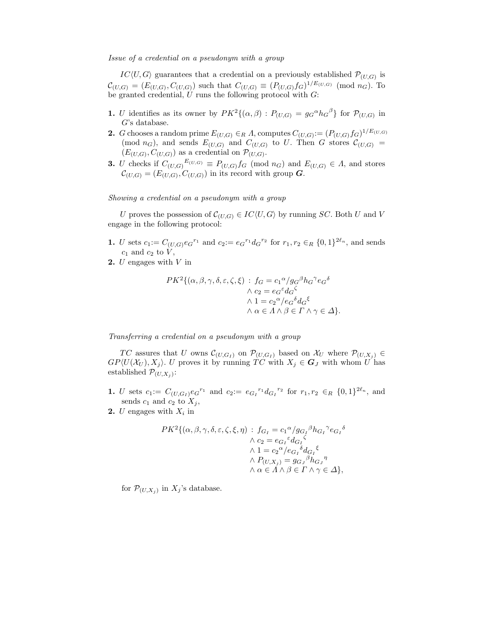*Issue of a credential on a pseudonym with a group*

 $IC\langle U, G \rangle$  guarantees that a credential on a previously established  $\mathcal{P}_{(U,G)}$  is  $\mathcal{C}_{(U,G)} = (E_{(U,G)}, C_{(U,G)})$  such that  $C_{(U,G)} \equiv (P_{(U,G)} f_G)^{1/E_{(U,G)}} \pmod{n_G}$ . To be granted credential,  $U$  runs the following protocol with  $G$ :

- **1.** U identifies as its owner by  $PK^2\{(\alpha, \beta) : P_{(U,G)} = g_G^{\alpha} h_G^{\beta}\}\$  for  $\mathcal{P}_{(U,G)}$  in G's database.
- **2.** G chooses a random prime  $E_{(U,G)} \in_R \Lambda$ , computes  $C_{(U,G)} := (P_{(U,G)}f_G)^{1/E_{(U,G)}}$ (mod  $n_G$ ), and sends  $E_{(U,G)}$  and  $C_{(U,G)}$  to U. Then G stores  $C_{(U,G)}$  =  $(E_{(U,G)}, C_{(U,G)})$  as a credential on  $\mathcal{P}_{(U,G)}$ .
- **3.** U checks if  $C_{(U,G)}^{E_{(U,G)}} \equiv P_{(U,G)} f_G \pmod{n_G}$  and  $E_{(U,G)} \in \Lambda$ , and stores  $\mathcal{C}_{(U,G)} = (E_{(U,G)}, C_{(U,G)})$  in its record with group *G*.

*Showing a credential on a pseudonym with a group*

U proves the possession of  $\mathcal{C}_{(U,G)} \in IC\langle U, G \rangle$  by running SC. Both U and V engage in the following protocol:

- **1.** U sets  $c_1 := C_{(U,G)}e_G^{r_1}$  and  $c_2 := e_G^{r_1}d_G^{r_2}$  for  $r_1, r_2 \in_R \{0,1\}^{2\ell_n}$ , and sends  $c_1$  and  $c_2$  to  $V$ ,
- **2.** U engages with V in

$$
PK^2\{(\alpha,\beta,\gamma,\delta,\varepsilon,\zeta,\xi) : f_G = c_1^{\alpha}/g_G^{\beta}h_G^{\gamma}e_G^{\delta} \newline \wedge c_2 = e_G^{\varepsilon}d_G^{\zeta} \newline \wedge 1 = c_2^{\alpha}/e_G^{\delta}d_G^{\xi} \newline \wedge \alpha \in \Lambda \wedge \beta \in \Gamma \wedge \gamma \in \Delta\}.
$$

*Transferring a credential on a pseudonym with a group*

TC assures that U owns  $\mathcal{C}_{(U,G_I)}$  on  $\mathcal{P}_{(U,G_I)}$  based on  $\mathcal{X}_U$  where  $\mathcal{P}_{(U,X_j)}$  $GP\langle U(\mathcal{X}_U), X_j \rangle$ . U proves it by running  $TC$  with  $X_j \in G_J$  with whom U has established  $\mathcal{P}_{(U,X_i)}$ :

- **1.** U sets  $c_1 := C_{(U,G_I)}e_G^{r_1}$  and  $c_2 := e_{G_I}^{r_1}d_{G_I}^{r_2}$  for  $r_1, r_2 \in_R \{0,1\}^{2\ell_n}$ , and sends  $c_1$  and  $c_2$  to  $X_i$ ,
- **2.**  $U$  engages with  $X_i$  in

$$
PK^2\{(\alpha, \beta, \gamma, \delta, \varepsilon, \zeta, \xi, \eta) : f_{G_I} = c_1^{\alpha}/g_{G_I}^{\beta}h_{G_I}^{\gamma}e_{G_I}^{\delta}
$$
  

$$
\wedge c_2 = e_{G_I}^{\varepsilon}d_{G_I}^{\zeta}
$$
  

$$
\wedge 1 = c_2^{\alpha}/e_{G_I}^{\delta}d_{G_I}^{\xi}
$$
  

$$
\wedge P_{(U, X_j)} = g_{G_J}^{\beta}h_{G_J}^{\gamma}
$$
  

$$
\wedge \alpha \in \Lambda \wedge \beta \in \Gamma \wedge \gamma \in \Delta\},
$$

for  $\mathcal{P}_{(U,X_i)}$  in  $X_j$ 's database.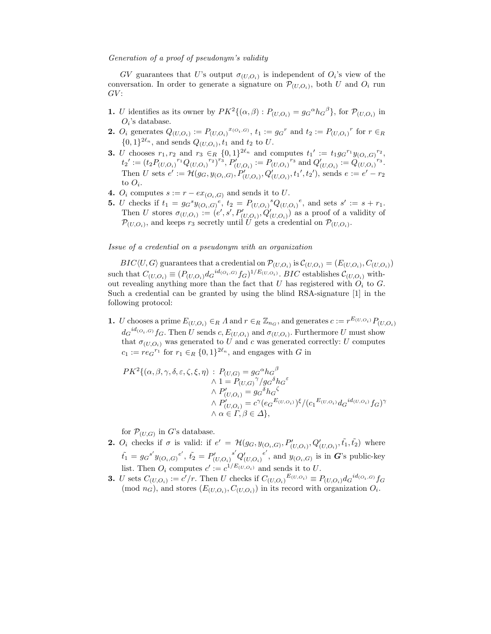## *Generation of a proof of pseudonym's validity*

GV guarantees that U's output  $\sigma_{(U,O_i)}$  is independent of  $O_i$ 's view of the conversation. In order to generate a signature on  $\mathcal{P}_{(U,O_i)}$ , both U and  $O_i$  run  $GV:$ 

- **1.** U identifies as its owner by  $PK^2\{(\alpha, \beta) : P_{(U,O_i)} = g_G^{\alpha}h_G^{\beta}\}\)$ , for  $P_{(U,O_i)}$  in  $O_i$ 's database.
- **2.**  $O_i$  generates  $Q_{(U,O_i)} := P_{(U,O_i)}^{x_{(O_i,G)}},$   $t_1 := g_G^r$  and  $t_2 := P_{(U,O_i)}^r$  for  $r \in_R$  $\{0,1\}^{2\ell_n}$ , and sends  $Q_{(U,O_i)}, t_1$  and  $t_2$  to U.
- **3.** *U* chooses  $r_1, r_2$  and  $r_3 \in_R \{0, 1\}^{2\ell_n}$  and computes  $t_1' := t_1 g_G^{r_1} y_{(O_i, G)}^{r_2}$ ,  $t_2':=(t_2P_{(U,O_i)}^{r_1}Q_{(U,O_i)}^{r_2})^{r_3}, P'_{(U,O_i)}:=P_{(U,O_i)}^{r_3} \text{ and } Q'_{(U,O_i)}:=Q_{(U,O_i)}^{r_3}.$ Then U sets  $e' := \mathcal{H}(g_G, y_{(O_i, G)}, P'_{(U, O_i)}, Q'_{(U, O_i)}, t_1', t_2')$ , sends  $e := e' - r_2$ to  $O_i$ .
- **4.**  $O_i$  computes  $s := r ex_{(O_i, G)}$  and sends it to U.
- **5.** *U* checks if  $t_1 = g_G^s y_{(O_i, G)}^e$ ,  $t_2 = P_{(U, O_i)}^s Q_{(U, O_i)}^e$ , and sets  $s' := s + r_1$ . Then U stores  $\sigma_{(U,O_i)} := (e', s', P'_{(U,O_i)}, Q'_{(U,O_i)})$  as a proof of a validity of  $\mathcal{P}_{(U,O_i)}$ , and keeps  $r_3$  secretly until U gets a credential on  $\mathcal{P}_{(U,O_i)}$ .

#### *Issue of a credential on a pseudonym with an organization*

 $BIC\langle U, G \rangle$  guarantees that a credential on  $\mathcal{P}_{(U,O_i)}$  is  $\mathcal{C}_{(U,O_i)} = (E_{(U,O_i)}, C_{(U,O_i)})$ such that  $C_{(U,O_i)} \equiv (P_{(U,O_i)} d_G^{id_{(O_i,G)}} f_G)^{1/E_{(U,O_i)}}$ . BIC establishes  $C_{(U,O_i)}$  without revealing anything more than the fact that U has registered with  $O_i$  to G. Such a credential can be granted by using the blind RSA-signature [1] in the following protocol:

**1.** U chooses a prime  $E_{(U,O_i)} \in_R \Lambda$  and  $r \in_R \mathbb{Z}_{n_G}$ , and generates  $c := r^{E_{(U,O_i)}} P_{(U,O_i)}$  $d_G{}^{id_{(O_i,G)}}f_G$ . Then U sends  $c, E_{(U,O_i)}$  and  $\sigma_{(U,O_i)}$ . Furthermore U must show that  $\sigma_{(U,O_i)}$  was generated to U and c was generated correctly: U computes  $c_1 := re_G^{r_1}$  for  $r_1 \in_R \{0,1\}^{2\ell_n}$ , and engages with G in

$$
PK^{2}\{(\alpha,\beta,\gamma,\delta,\varepsilon,\zeta,\xi,\eta): P_{(U,G)} = g_{G}{}^{\alpha}h_{G}{}^{\beta}
$$
  

$$
\wedge 1 = P_{(U,G)}{}^{\gamma}/g_{G}{}^{\delta}h_{G}{}^{\varepsilon}
$$
  

$$
\wedge P'_{(U,O_{i})} = g_{G}{}^{\delta}h_{G}{}^{\zeta}
$$
  

$$
\wedge P'_{(U,O_{i})} = c^{\gamma}(e_{G}{}^{E_{(U,O_{i})}})^{\xi}/(c_{1}{}^{E_{(U,O_{i})}}d_{G}{}^{id_{(U,O_{i})}}f_{G})^{\gamma}
$$
  

$$
\wedge \alpha \in \Gamma, \beta \in \Delta\},
$$

for  $\mathcal{P}_{(U,G)}$  in G's database.

- **2.**  $O_i$  checks if  $\sigma$  is valid: if  $e' = \mathcal{H}(g_G, y_{(O_i, G)}, P'_{(U, O_i)}, Q'_{(U, O_i)}, \tilde{t}_1, \tilde{t}_2)$  where  $\tilde{t}_1 = g_G^{s'} y_{(O_i, G)}^{e'}, \, \tilde{t}_2 = P'_{(U, O_i)}$  $^{s^\prime}Q_{(U,O_i)}^\prime$  $e'$ , and  $y_{(O_i,G)}$  is in *G*'s public-key list. Then  $O_i$  computes  $c' := c^{1/E_{(U,O_i)}}$  and sends it to U.
- **3.** U sets  $C_{(U,O_i)} := c'/r$ . Then U checks if  $C_{(U,O_i)}^{E_{(U,O_i)}} \equiv P_{(U,O_i)} d_G^{id_{(O_i,O)}} f_G$ (mod  $n_G$ ), and stores  $(E_{(U,O_i)}, C_{(U,O_i)})$  in its record with organization  $O_i$ .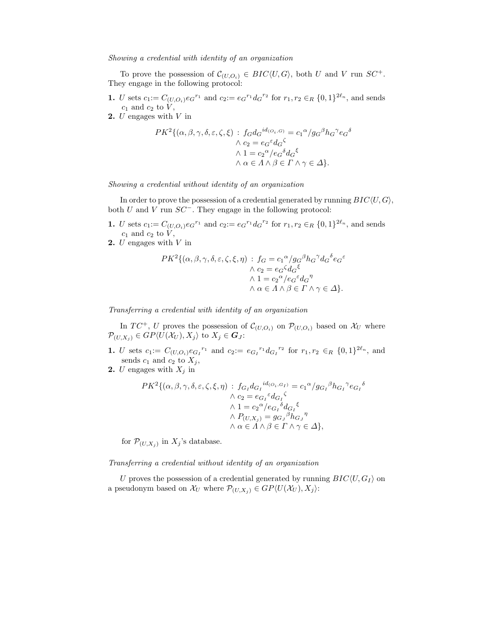#### *Showing a credential with identity of an organization*

To prove the possession of  $\mathcal{C}_{(U,O_i)} \in BIC\langle U,G \rangle$ , both U and V run  $SC^+$ . They engage in the following protocol:

- **1.** U sets  $c_1 := C_{(U,O_i)} e_G^{r_1}$  and  $c_2 := e_G^{r_1} d_G^{r_2}$  for  $r_1, r_2 \in_R \{0,1\}^{2\ell_n}$ , and sends  $c_1$  and  $c_2$  to  $V$ ,
- **2.** U engages with V in

$$
PK^2\{(\alpha,\beta,\gamma,\delta,\varepsilon,\zeta,\xi) : f_G d_G{}^{id_{(O_i,G)}} = c_1{}^{\alpha}/g_G{}^{\beta} h_G{}^{\gamma} e_G{}^{\delta}
$$
  

$$
\wedge c_2 = e_G{}^{\varepsilon} d_G{}^{\zeta}
$$
  

$$
\wedge 1 = c_2{}^{\alpha}/e_G{}^{\delta} d_G{}^{\xi}
$$
  

$$
\wedge \alpha \in \Lambda \wedge \beta \in \Gamma \wedge \gamma \in \Delta\}.
$$

*Showing a credential without identity of an organization*

In order to prove the possession of a credential generated by running  $BIC\langle U, G \rangle$ , both U and V run  $SC^-$ . They engage in the following protocol:

- **1.** U sets  $c_1 := C_{(U,O_i)} e_G^{r_1}$  and  $c_2 := e_G^{r_1} d_G^{r_2}$  for  $r_1, r_2 \in_R \{0,1\}^{2\ell_n}$ , and sends  $c_1$  and  $c_2$  to  $\hat{V}$ ,
- **2.** U engages with V in

$$
PK^2\{(\alpha,\beta,\gamma,\delta,\varepsilon,\zeta,\xi,\eta) : f_G = c_1^{\alpha}/g_G^{\beta}h_G^{\gamma}d_G^{\delta}e_G^{\varepsilon} \wedge c_2 = e_G^{\zeta}d_G^{\xi} \wedge 1 = c_2^{\alpha}/e_G^{\varepsilon}d_G^{\eta} \wedge \alpha \in \Lambda \wedge \beta \in \Gamma \wedge \gamma \in \Delta\}.
$$

*Transferring a credential with identity of an organization*

In  $TC^+$ , U proves the possession of  $\mathcal{C}_{(U,O_i)}$  on  $\mathcal{P}_{(U,O_i)}$  based on  $\mathcal{X}_U$  where  $\mathcal{P}_{(U,X_j)} \in GP\langle U(\mathcal{X}_U), X_j \rangle$  to  $X_j \in \mathbf{G}_J$ :

- **1.** U sets  $c_1 := C_{(U,O_i)}e_{G_I}^{r_1}$  and  $c_2 := e_{G_I}^{r_1}d_{G_I}^{r_2}$  for  $r_1, r_2 \in_R \{0,1\}^{2\ell_n}$ , and sends  $c_1$  and  $c_2$  to  $X_j$ ,
- **2.**  $U$  engages with  $X_j$  in

$$
PK^2\{(\alpha, \beta, \gamma, \delta, \varepsilon, \zeta, \xi, \eta) : f_{G_I} d_{G_I}{}^{id_{(O_i, G_I)}} = c_1^{\alpha}/g_{G_I}{}^{\beta} h_{G_I}{}^{\gamma} e_{G_I}{}^{\delta}
$$
  

$$
\wedge c_2 = e_{G_I}{}^{\varepsilon} d_{G_I}{}^{\zeta}
$$
  

$$
\wedge 1 = c_2^{\alpha}/e_{G_I}{}^{\delta} d_{G_I}{}^{\xi}
$$
  

$$
\wedge P_{(U, X_j)} = g_{G_J}{}^{\beta} h_{G_J}{}^{\eta}
$$
  

$$
\wedge \alpha \in \Lambda \wedge \beta \in \Gamma \wedge \gamma \in \Delta\},
$$

for  $\mathcal{P}_{(U,X_i)}$  in  $X_j$ 's database.

*Transferring a credential without identity of an organization*

U proves the possession of a credential generated by running  $BIC\langle U, G_I \rangle$  on a pseudonym based on  $\mathcal{X}_U$  where  $\mathcal{P}_{(U,X_i)} \in GP\langle U(\mathcal{X}_U), X_j \rangle$ :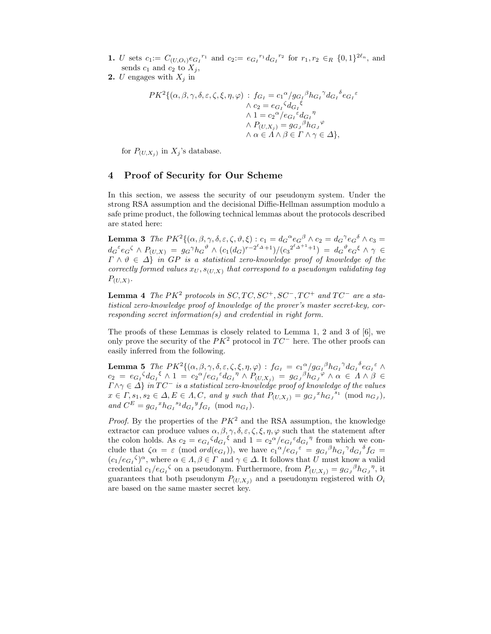- **1.** U sets  $c_1 := C_{(U,O_i)}e_{G_I}^{r_1}$  and  $c_2 := e_{G_I}^{r_1}d_{G_I}^{r_2}$  for  $r_1, r_2 \in_R \{0,1\}^{2\ell_n}$ , and sends  $c_1$  and  $c_2$  to  $X_i$ ,
- **2.**  $U$  engages with  $X_i$  in

$$
PK^2\{(\alpha,\beta,\gamma,\delta,\varepsilon,\zeta,\xi,\eta,\varphi) : f_{G_I} = c_1^{\alpha}/g_{G_I}^{\beta}h_{G_I}^{\gamma}d_{G_I}^{\delta}e_{G_I}^{\varepsilon} \wedge c_2 = e_{G_I}^{\zeta}d_{G_I}^{\xi} \wedge 1 = c_2^{\alpha}/e_{G_I}^{\varepsilon}d_{G_I}^{\gamma} \wedge P_{(U,X_j)} = g_{G_J}^{\beta}h_{G_J}^{\gamma} \wedge \alpha \in \Lambda \wedge \beta \in \Gamma \wedge \gamma \in \Delta\},
$$

for  $P_{(U,X_i)}$  in  $X_i$ 's database.

# **4 Proof of Security for Our Scheme**

In this section, we assess the security of our pseudonym system. Under the strong RSA assumption and the decisional Diffie-Hellman assumption modulo a safe prime product, the following technical lemmas about the protocols described are stated here:

**Lemma 3** *The*  $PK^2\{(\alpha, \beta, \gamma, \delta, \varepsilon, \zeta, \vartheta, \xi) : c_1 = d_G^{\alpha} e_G^{\beta} \wedge c_2 = d_G^{\gamma} e_G^{\delta} \wedge c_3 =$  $d_{G}^{\epsilon} e_{G}^{\zeta} \wedge P_{(U,X)} = g_{G}^{\gamma} h_{G}^{\theta} \wedge (c_{1}(d_{G})^{r-2^{\ell}\Delta+1})/(c_{3}^{2^{\ell}\Delta^{+1}+1}) = d_{G}^{\theta} e_{G}^{\zeta} \wedge \gamma \in$  $\Gamma \wedge \vartheta \in \Delta$  *in*  $\overline{GP}$  *is a statistical zero-knowledge proof of knowledge of the correctly formed values*  $x_U$ ,  $s_{(U,X)}$  *that correspond to a pseudonym validating tag*  $P_{(U,X)}$ .

**Lemma 4** *The*  $PK^2$  protocols in  $SC, TC, SC^+, SC^-, TC^+$  and  $TC^-$  are a sta*tistical zero-knowledge proof of knowledge of the prover's master secret-key, corresponding secret information(s) and credential in right form.*

The proofs of these Lemmas is closely related to Lemma 1, 2 and 3 of [6], we only prove the security of the  $PK^2$  protocol in  $TC^-$  here. The other proofs can easily inferred from the following.

**Lemma 5** *The PK*<sup>2</sup>{( $\alpha, \beta, \gamma, \delta, \varepsilon, \zeta, \xi, \eta, \varphi$ ) :  $f_{G_I} = c_1 \alpha / g_{G_I} \beta h_{G_I} \gamma d_{G_I} \delta e_{G_I} \varepsilon \wedge$  $c_2 = e_{G_1}{}^{\zeta} d_{G_1}{}^{\xi} \wedge 1 = c_2{}^{\alpha} / e_{G_1}{}^{\varepsilon} d_{G_1}{}^{\eta} \wedge P_{(U,X_j)} = g_{G_j}{}^{\beta} h_{G_J}{}^{\varphi} \wedge \alpha \in \Lambda \wedge \beta \in$  $\Gamma \wedge \gamma \in \Delta$ } *in*  $TC^-$  *is a statistical zero-knowledge proof of knowledge of the values*  $x \in \Gamma, s_1, s_2 \in \Delta, E \in \Lambda, C$ , and y such that  $P_{(U,X_j)} = g_{G_J}{}^x h_{G_J}{}^{s_1} \pmod{n_{G_J}}$ ,  $and C^{E} = g_{G_{I}}^{x} h_{G_{I}}^{s_{2}} d_{G_{I}}^{y} f_{G_{I}} \pmod{n_{G_{I}}}$ .

*Proof.* By the properties of the  $PK^2$  and the RSA assumption, the knowledge extractor can produce values  $\alpha, \beta, \gamma, \delta, \varepsilon, \zeta, \xi, \eta, \varphi$  such that the statement after the colon holds. As  $c_2 = e_{G_I}^c d_{G_I}^c$  and  $1 = c_2^{\alpha} / e_{G_I}^c d_{G_I}^{\qquad \eta}$  from which we conclude that  $\zeta \alpha = \varepsilon \pmod{ord(e_{G_I})}$ , we have  $c_1^{\alpha}/e_{G_I}^{\varepsilon} = g_{G_I}^{\beta} h_{G_I}^{\gamma} d_{G_I}^{\delta} f_G =$  $(c_1/c_{G_I}^{\zeta})^{\alpha}$ , where  $\alpha \in \Lambda, \beta \in \Gamma$  and  $\gamma \in \Delta$ . It follows that U must know a valid credential  $c_1/e_{G_I}$ <sup> $\zeta$ </sup> on a pseudonym. Furthermore, from  $P_{(U,X_j)} = g_{G_J}{}^{\beta} h_{G_J}{}^{\eta}$ , it guarantees that both pseudonym  $P_{(U,X_i)}$  and a pseudonym registered with  $O_i$ are based on the same master secret key.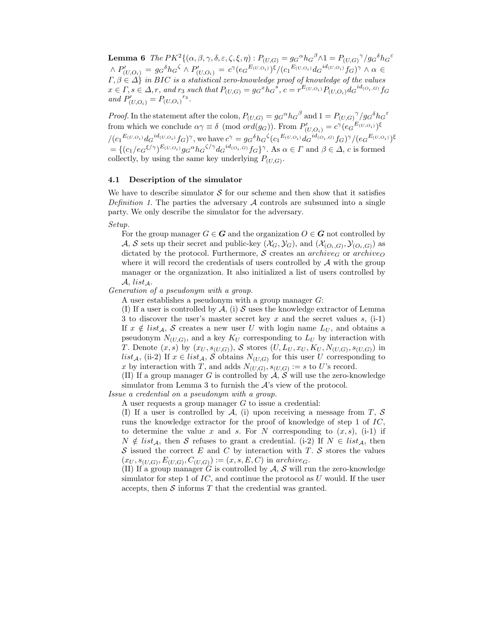**Lemma 6** *The*  $PK^2\{(\alpha,\beta,\gamma,\delta,\varepsilon,\zeta,\xi,\eta):P_{(U,G)}=g_G{}^{\alpha}h_G{}^{\beta}\wedge 1 = P_{(U,G)}{}^{\gamma}/g_G{}^{\delta}h_G{}^{\varepsilon}$  $\Delta P'_{(U,O_i)} = g_G^{\delta} h_G^{\zeta} \wedge P'_{(U,O_i)} = c^{\gamma} (e_G^{E_{(U,O_i)}})^{\xi} / (c_1^{E_{(U,O_i)}} d_G^{id_{(U,O_i)}} f_G)^{\gamma} \wedge \alpha$  $T, \beta \in \Delta$  *i*  $\sum_{i=1}^{N}$  *is a statistical zero-knowledge proof of knowledge of the values*  $x \in \Gamma$ ,  $s \in \Delta$ ,  $r$ , and  $r_3$  such that  $P_{(U,G)} = g_G{}^x h_G{}^s$ ,  $c = r^{E_{(U,O_i)}} P_{(U,O_i)} d_G{}^{id_{(O_i,G)}} f_G$ *and*  $P'_{(U,O_i)} = P_{(U,O_i)}^{r_3}$ *.* 

*Proof.* In the statement after the colon,  $P_{(U,G)} = g_G^{\alpha} h_G^{\beta}$  and  $1 = P_{(U,G)}^{\gamma} / g_G^{\delta} h_G^{\epsilon}$ from which we conclude  $\alpha\gamma \equiv \delta \pmod{ord(g_G)}$ . From  $P'_{(U,O_i)} = c^{\gamma}(e_G^{E_{(U,O_i)}})^{\xi}$  $/(c_1^{E_{(U,O_i)}} d_G^{id_{(U,O_i)}} f_G)^\gamma$ , we have  $c^\gamma = g_G^{\delta} h_G^{\zeta} (c_1^{E_{(U,O_i)}} d_G^{id_{(O_i,G)}} f_G)^\gamma / (e_G^{E_{(U,O_i)}})^\xi$  $=\{(c_1/e_G\xi/\gamma)^{E_{(U,O_i)}}g_G\alpha_{\mathcal{H}_G}\zeta/\gamma d_G{}^{id_{(O_i,G)}}f_G\}^{\gamma}$ . As  $\alpha \in \Gamma$  and  $\beta \in \Delta$ , c is formed collectly, by using the same key underlying  $P_{(U,G)}$ .

## **4.1 Description of the simulator**

We have to describe simulator  $S$  for our scheme and then show that it satisfies *Definition 1*. The parties the adversary  $A$  controls are subsumed into a single party. We only describe the simulator for the adversary.

*Setup.*

For the group manager  $G \in \mathbf{G}$  and the organization  $O \in \mathbf{G}$  not controlled by A, S sets up their secret and public-key  $(\mathcal{X}_G, \mathcal{Y}_G)$ , and  $(\mathcal{X}_{(O_i,G)}, \mathcal{Y}_{(O_i,G)})$  as dictated by the protocol. Furthermore,  $S$  creates an  $\archive_G$  or  $\archive_O$ where it will record the credentials of users controlled by  $A$  with the group manager or the organization. It also initialized a list of users controlled by  $\mathcal{A}$ , list  $\Lambda$ .

*Generation of a pseudonym with a group.*

A user establishes a pseudonym with a group manager G:

(I) If a user is controlled by  $\mathcal{A}$ , (i) S uses the knowledge extractor of Lemma 3 to discover the user's master secret key x and the secret values s,  $(i-1)$ If  $x \notin list_{\mathcal{A}}, S$  creates a new user U with login name  $L_U$ , and obtains a pseudonym  $N_{(U,G)}$ , and a key  $K_U$  corresponding to  $L_U$  by interaction with T. Denote  $(x, s)$  by  $(x_U, s_{(U,G)})$ , S stores  $(U, L_U, x_U, K_U, N_{(U,G)}, s_{(U,G)})$  in list<sub>A</sub>, (ii-2) If  $x \in list_{\mathcal{A}}, S$  obtains  $N_{(U,G)}$  for this user U corresponding to x by interaction with T, and adds  $N_{(U,G)}, s_{(U,G)} := s$  to U's record.

(II) If a group manager G is controlled by  $\mathcal{A}, \mathcal{S}$  will use the zero-knowledge simulator from Lemma 3 to furnish the  $A$ 's view of the protocol.

*Issue a credential on a pseudonym with a group.* A user requests a group manager G to issue a credential:

(I) If a user is controlled by  $A$ , (i) upon receiving a message from T, S runs the knowledge extractor for the proof of knowledge of step 1 of IC, to determine the value x and s. For N corresponding to  $(x, s)$ , (i-1) if  $N \notin list_{\mathcal{A}}$ , then S refuses to grant a credential. (i-2) If  $N \in list_{\mathcal{A}}$ , then  $S$  issued the correct E and C by interaction with T. S stores the values  $(x_U, s_{(U,G)}, E_{(U,G)}, C_{(U,G)}) := (x, s, E, C)$  in archive<sub>G</sub>.

(II) If a group manager G is controlled by  $A$ , S will run the zero-knowledge simulator for step 1 of  $IC$ , and continue the protocol as  $U$  would. If the user accepts, then  $S$  informs  $T$  that the credential was granted.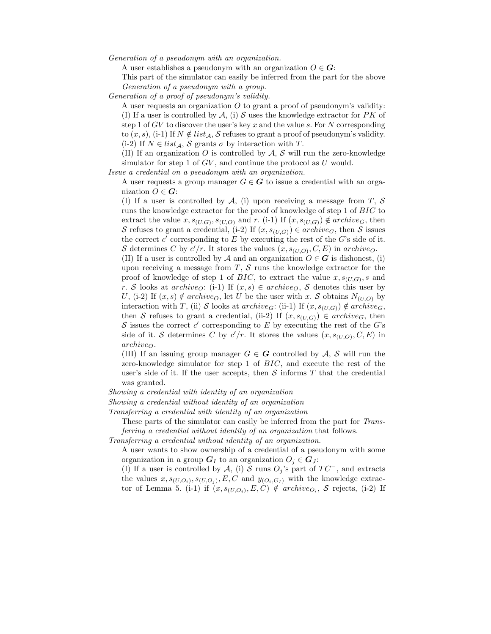*Generation of a pseudonym with an organization.*

A user establishes a pseudonym with an organization  $O \in \mathbf{G}$ :

This part of the simulator can easily be inferred from the part for the above *Generation of a pseudonym with a group*.

*Generation of a proof of pseudonym's validity.*

A user requests an organization  $O$  to grant a proof of pseudonym's validity: (I) If a user is controlled by  $A$ , (i) S uses the knowledge extractor for PK of step 1 of  $GV$  to discover the user's key x and the value s. For N corresponding to  $(x, s)$ , (i-1) If  $N \notin list_{\mathcal{A}}$ , S refuses to grant a proof of pseudonym's validity. (i-2) If  $N \in list_{\mathcal{A}}, \mathcal{S}$  grants  $\sigma$  by interaction with T.

(II) If an organization O is controlled by  $A$ , S will run the zero-knowledge simulator for step 1 of  $GV$ , and continue the protocol as  $U$  would.

*Issue a credential on a pseudonym with an organization.*

A user requests a group manager  $G \in \mathbf{G}$  to issue a credential with an organization  $O \in \mathbf{G}$ :

(I) If a user is controlled by  $A$ , (i) upon receiving a message from T, S runs the knowledge extractor for the proof of knowledge of step 1 of BIC to extract the value  $x, s_{(U,G)}, s_{(U,O)}$  and r. (i-1) If  $(x, s_{(U,G)}) \notin archive_G$ , then S refuses to grant a credential, (i-2) If  $(x, s_{(U,G)}) \in archive_G$ , then S issues the correct  $c'$  corresponding to E by executing the rest of the G's side of it. S determines C by  $c'/r$ . It stores the values  $(x, s_{(U,O)}, C, E)$  in archive<sub>O</sub>.

(II) If a user is controlled by A and an organization  $O \in G$  is dishonest, (i) upon receiving a message from  $T$ ,  $S$  runs the knowledge extractor for the proof of knowledge of step 1 of BIC, to extract the value  $x, s_{(U,G)}, s$  and r. S looks at archive<sub>O</sub>: (i-1) If  $(x, s) \in archive_0$ , S denotes this user by U, (i-2) If  $(x, s) \notin archive_O$ , let U be the user with x. S obtains  $N_{(U,O)}$  by interaction with T, (ii) S looks at archive<sub>G</sub>: (ii-1) If  $(x, s_{(U,G)}) \notin archive_G$ , then S refuses to grant a credential, (ii-2) If  $(x, s_{(U,G)}) \in archive_G$ , then S issues the correct c' corresponding to E by executing the rest of the  $G$ 's side of it. S determines C by  $c'/r$ . It stores the values  $(x, s_{(U,O)}, C, E)$  in  $archive<sub>O</sub>$ .

(III) If an issuing group manager  $G \in G$  controlled by A, S will run the zero-knowledge simulator for step 1 of BIC, and execute the rest of the user's side of it. If the user accepts, then  $S$  informs  $T$  that the credential was granted.

*Showing a credential with identity of an organization*

*Showing a credential without identity of an organization*

*Transferring a credential with identity of an organization*

These parts of the simulator can easily be inferred from the part for *Transferring a credential without identity of an organization* that follows.

*Transferring a credential without identity of an organization.*

A user wants to show ownership of a credential of a pseudonym with some organization in a group  $G_I$  to an organization  $O_i \in G_J$ :

(I) If a user is controlled by A, (i) S runs  $O_j$ 's part of  $TC^-$ , and extracts the values  $x, s_{(U,O_i)}, s_{(U,O_j)}, E, C$  and  $y_{(O_i,G_I)}$  with the knowledge extractor of Lemma 5. (i-1) if  $(x, s_{(U,O_i)}, E, C) \notin archive_{O_i}$ , S rejects, (i-2) If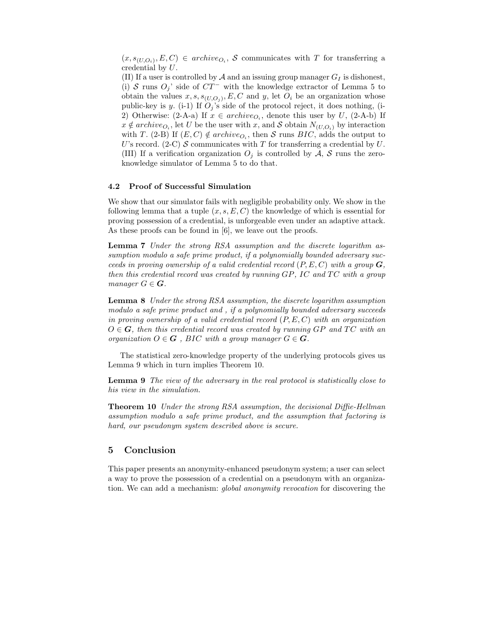$(x, s_{(U,O_i)}, E, C) \in archive_{O_i},$  S communicates with T for transferring a credential by U.

(II) If a user is controlled by  $A$  and an issuing group manager  $G_I$  is dishonest, (i) S runs  $O_j$ ' side of  $CT^-$  with the knowledge extractor of Lemma 5 to obtain the values  $x, s, s_{(U,O_i)}, E, C$  and y, let  $O_i$  be an organization whose public-key is y. (i-1) If  $O_i$ 's side of the protocol reject, it does nothing, (i-2) Otherwise: (2-A-a) If  $x \in archive_{O_i}$ , denote this user by U, (2-A-b) If  $x \notin archive_{O_i}$ , let U be the user with x, and S obtain  $N_{(U,O_i)}$  by interaction with T. (2-B) If  $(E, C) \notin archive_{O_i}$ , then S runs BIC, adds the output to U's record. (2-C) S communicates with T for transferring a credential by  $U$ . (III) If a verification organization  $O_j$  is controlled by  $A$ ,  $S$  runs the zeroknowledge simulator of Lemma 5 to do that.

## **4.2 Proof of Successful Simulation**

We show that our simulator fails with negligible probability only. We show in the following lemma that a tuple  $(x, s, E, C)$  the knowledge of which is essential for proving possession of a credential, is unforgeable even under an adaptive attack. As these proofs can be found in [6], we leave out the proofs.

**Lemma 7** *Under the strong RSA assumption and the discrete logarithm assumption modulo a safe prime product, if a polynomially bounded adversary succeeds in proving ownership of a valid credential record*  $(P, E, C)$  *with a group*  $G$ *, then this credential record was created by running GP, IC and TC with a group manager*  $G \in \mathbf{G}$ *.* 

**Lemma 8** *Under the strong RSA assumption, the discrete logarithm assumption modulo a safe prime product and , if a polynomially bounded adversary succeeds in proving ownership of a valid credential record* (P, E, C) *with an organization*  $O \in G$ , then this credential record was created by running  $GP$  and  $TC$  with an *organization*  $O \in G$ , *BIC with* a group manager  $G \in G$ *.* 

The statistical zero-knowledge property of the underlying protocols gives us Lemma 9 which in turn implies Theorem 10.

**Lemma 9** *The view of the adversary in the real protocol is statistically close to his view in the simulation.*

**Theorem 10** *Under the strong RSA assumption, the decisional Diffie-Hellman assumption modulo a safe prime product, and the assumption that factoring is hard, our pseudonym system described above is secure.*

## **5 Conclusion**

This paper presents an anonymity-enhanced pseudonym system; a user can select a way to prove the possession of a credential on a pseudonym with an organization. We can add a mechanism: *global anonymity revocation* for discovering the